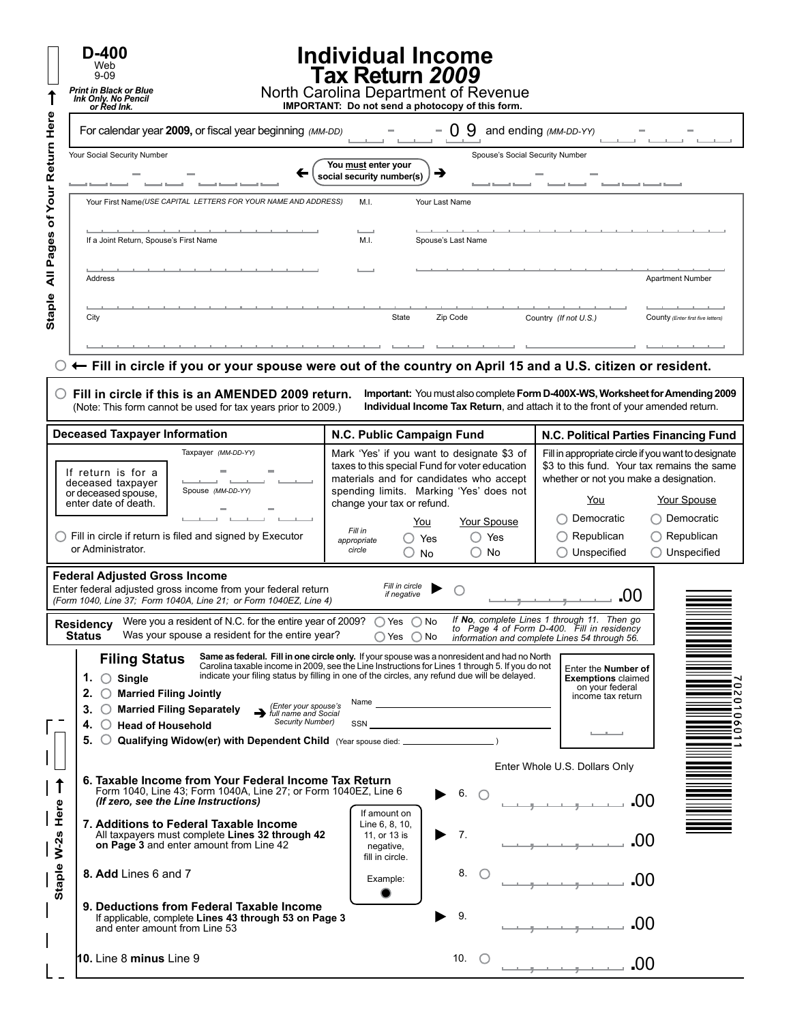|             | $D-400$<br>Web<br>$9 - 09$<br><b>Print in Black or Blue</b><br><b>Ink Only. No Pencil</b><br>or Red Ink.                                                                                                                                                                                                                                               | <b>Individual Income</b><br>Tax Return 2009<br>North Carolina Department of Revenue<br>IMPORTANT: Do not send a photocopy of this form.                                                                                                                                                                                                                 |                                                                                                                                                                                                                                                                                             |  |  |  |  |
|-------------|--------------------------------------------------------------------------------------------------------------------------------------------------------------------------------------------------------------------------------------------------------------------------------------------------------------------------------------------------------|---------------------------------------------------------------------------------------------------------------------------------------------------------------------------------------------------------------------------------------------------------------------------------------------------------------------------------------------------------|---------------------------------------------------------------------------------------------------------------------------------------------------------------------------------------------------------------------------------------------------------------------------------------------|--|--|--|--|
| Here        | For calendar year 2009, or fiscal year beginning (MM-DD)                                                                                                                                                                                                                                                                                               | 9                                                                                                                                                                                                                                                                                                                                                       | and ending (MM-DD-YY)                                                                                                                                                                                                                                                                       |  |  |  |  |
| Your Return | Your Social Security Number                                                                                                                                                                                                                                                                                                                            | Spouse's Social Security Number<br>You must enter your<br>→<br>social security number(s)                                                                                                                                                                                                                                                                |                                                                                                                                                                                                                                                                                             |  |  |  |  |
| đ           | Your First Name(USE CAPITAL LETTERS FOR YOUR NAME AND ADDRESS)                                                                                                                                                                                                                                                                                         | M.I.<br>Your Last Name<br>Spouse's Last Name<br>M.I.                                                                                                                                                                                                                                                                                                    |                                                                                                                                                                                                                                                                                             |  |  |  |  |
| Pages<br>₹  | If a Joint Return, Spouse's First Name<br>Address                                                                                                                                                                                                                                                                                                      |                                                                                                                                                                                                                                                                                                                                                         | <b>Apartment Number</b>                                                                                                                                                                                                                                                                     |  |  |  |  |
| Staple      | City                                                                                                                                                                                                                                                                                                                                                   | State<br>Zip Code                                                                                                                                                                                                                                                                                                                                       | Country (If not U.S.)<br>County (Enter first five letters)                                                                                                                                                                                                                                  |  |  |  |  |
|             | $\circlearrowright$ Fill in circle if you or your spouse were out of the country on April 15 and a U.S. citizen or resident.                                                                                                                                                                                                                           |                                                                                                                                                                                                                                                                                                                                                         |                                                                                                                                                                                                                                                                                             |  |  |  |  |
|             | Fill in circle if this is an AMENDED 2009 return.<br>Important: You must also complete Form D-400X-WS, Worksheet for Amending 2009<br>Individual Income Tax Return, and attach it to the front of your amended return.<br>(Note: This form cannot be used for tax years prior to 2009.)                                                                |                                                                                                                                                                                                                                                                                                                                                         |                                                                                                                                                                                                                                                                                             |  |  |  |  |
|             | <b>Deceased Taxpayer Information</b>                                                                                                                                                                                                                                                                                                                   | N.C. Public Campaign Fund                                                                                                                                                                                                                                                                                                                               | N.C. Political Parties Financing Fund                                                                                                                                                                                                                                                       |  |  |  |  |
|             | Taxpayer (MM-DD-YY)<br>If return is for a<br>deceased taxpayer<br>Spouse (MM-DD-YY)<br>or deceased spouse,<br>enter date of death.<br>$\bigcirc$ Fill in circle if return is filed and signed by Executor<br>or Administrator.                                                                                                                         | Mark 'Yes' if you want to designate \$3 of<br>taxes to this special Fund for voter education<br>materials and for candidates who accept<br>spending limits. Marking 'Yes' does not<br>change your tax or refund.<br>Your Spouse<br><u>You</u><br>Fill in<br>Yes<br>$\bigcirc$ Yes<br>appropriate<br>circle<br><b>No</b><br>O<br>No<br>$\left(\ \right)$ | Fill in appropriate circle if you want to designate<br>\$3 to this fund. Your tax remains the same<br>whether or not you make a designation.<br>Your Spouse<br>You<br>◯ Democratic<br>Democratic<br>$\bigcirc$ Republican<br>Republican<br>$\bigcirc$ Unspecified<br>$\bigcirc$ Unspecified |  |  |  |  |
|             | <b>Federal Adjusted Gross Income</b><br>Enter federal adjusted gross income from your federal return<br>(Form 1040, Line 37; Form 1040A, Line 21; or Form 1040EZ, Line 4)<br>Were you a resident of N.C. for the entire year of 2009? $\bigcirc$ Yes $\bigcirc$ No                                                                                     | Fill in circle<br>if negative                                                                                                                                                                                                                                                                                                                           | .00<br>If No, complete Lines 1 through 11. Then go                                                                                                                                                                                                                                          |  |  |  |  |
|             | Residency<br><b>Status</b><br>Was your spouse a resident for the entire year?                                                                                                                                                                                                                                                                          | $\bigcap$ Yes $\bigcirc$ No                                                                                                                                                                                                                                                                                                                             | to Page 4 of Form D-400. Fill in residency<br>information and complete Lines 54 through 56.                                                                                                                                                                                                 |  |  |  |  |
|             | <b>Filing Status</b><br>1. $\bigcirc$ Single<br>◯ Married Filing Jointly<br>2.<br>(Enter your spouse's<br>◯ Married Filing Separately<br>З.<br>$\rightarrow$ full name and Social<br><b>Security Number)</b><br>$\bigcirc$ Head of Household<br>5.<br>$\bigcirc$ Qualifying Widow(er) with Dependent Child (Year spouse died: _______________________) | Same as federal. Fill in one circle only. If your spouse was a nonresident and had no North<br>Carolina taxable income in 2009, see the Line Instructions for Lines 1 through 5. If you do not<br>indicate your filing status by filling in one of the circles, any refund due will be delayed.<br><u> 1980 - Johann Barn, mars eta bainar e</u><br>SSN | Enter the Number of<br><b>Exemptions claimed</b><br>io<br>on your federal<br>∙<br>income tax return<br>0<br>$\mathbf{\Omega}$<br>!o<br>≔                                                                                                                                                    |  |  |  |  |
| 1           | 6. Taxable Income from Your Federal Income Tax Return<br>Form 1040, Line 43; Form 1040A, Line 27; or Form 1040EZ, Line 6                                                                                                                                                                                                                               | $6.$ $\bigcirc$                                                                                                                                                                                                                                                                                                                                         | Enter Whole U.S. Dollars Only<br>-00                                                                                                                                                                                                                                                        |  |  |  |  |
| Here        | (If zero, see the Line Instructions)<br>7. Additions to Federal Taxable Income<br>All taxpayers must complete Lines 32 through 42<br>on Page 3 and enter amount from Line 42                                                                                                                                                                           | If amount on<br>Line 6, 8, 10,<br>7.<br>11, or 13 is<br>negative,                                                                                                                                                                                                                                                                                       | .00                                                                                                                                                                                                                                                                                         |  |  |  |  |
| Staple W-2s | 8. Add Lines 6 and 7                                                                                                                                                                                                                                                                                                                                   | fill in circle.<br>8.<br>Œ<br>Example:                                                                                                                                                                                                                                                                                                                  | .00                                                                                                                                                                                                                                                                                         |  |  |  |  |
|             | 9. Deductions from Federal Taxable Income<br>If applicable, complete Lines 43 through 53 on Page 3<br>and enter amount from Line 53                                                                                                                                                                                                                    | 9.                                                                                                                                                                                                                                                                                                                                                      | .00                                                                                                                                                                                                                                                                                         |  |  |  |  |
|             | 10. Line 8 minus Line 9                                                                                                                                                                                                                                                                                                                                | 10.<br>$\left( \begin{array}{c} \cdot \end{array} \right)$                                                                                                                                                                                                                                                                                              | .00                                                                                                                                                                                                                                                                                         |  |  |  |  |

 $\mathsf{L}$ .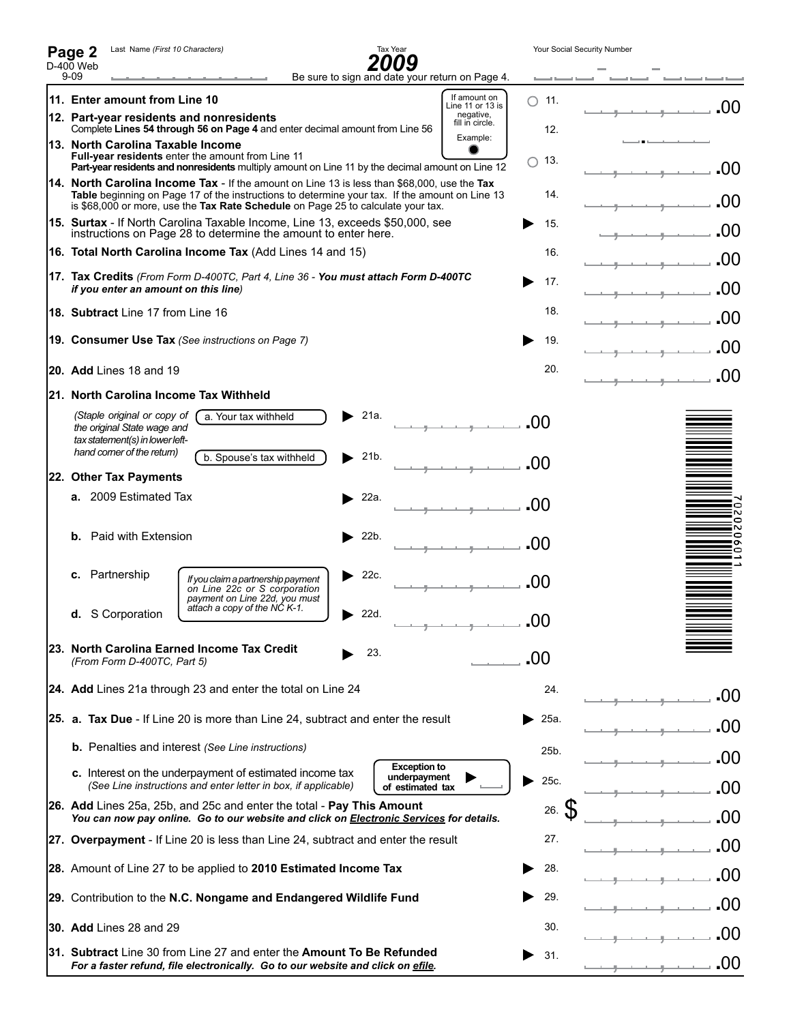| Last Name (First 10 Characters)<br>Page 2                                                                                                                |                                                                                                                                                                                                                                                                                   |      | Tax Year                                                |                                                 | Your Social Security Number |                                     |
|----------------------------------------------------------------------------------------------------------------------------------------------------------|-----------------------------------------------------------------------------------------------------------------------------------------------------------------------------------------------------------------------------------------------------------------------------------|------|---------------------------------------------------------|-------------------------------------------------|-----------------------------|-------------------------------------|
| $D-40\overline{0}$ Web<br>$9 - 09$                                                                                                                       |                                                                                                                                                                                                                                                                                   |      |                                                         | Be sure to sign and date your return on Page 4. |                             |                                     |
| 11. Enter amount from Line 10                                                                                                                            |                                                                                                                                                                                                                                                                                   |      |                                                         | If amount on<br>Line 11 or 13 is                | $\bigcap$ 11.               | .00                                 |
| negative,<br>12. Part-vear residents and nonresidents<br>fill in circle.<br>Complete Lines 54 through 56 on Page 4 and enter decimal amount from Line 56 |                                                                                                                                                                                                                                                                                   |      |                                                         |                                                 | 12.                         |                                     |
| 13. North Carolina Taxable Income                                                                                                                        | <b>Full-year residents</b> enter the amount from Line 11<br>Part-year residents and nonresidents multiply amount on Line 11 by the decimal amount on Line 12                                                                                                                      |      |                                                         | Example:                                        | 13.<br>Ο.                   | .00                                 |
|                                                                                                                                                          | 14. North Carolina Income Tax - If the amount on Line 13 is less than \$68,000, use the Tax<br>Table beginning on Page 17 of the instructions to determine your tax. If the amount on Line 13<br>is \$68,000 or more, use the Tax Rate Schedule on Page 25 to calculate your tax. |      |                                                         |                                                 | 14.                         | $\Omega$                            |
|                                                                                                                                                          | 15. Surtax - If North Carolina Taxable Income, Line 13, exceeds \$50,000, see<br>instructions on Page 28 to determine the amount to enter here.                                                                                                                                   |      |                                                         |                                                 | 15.                         | -00                                 |
|                                                                                                                                                          | 16. Total North Carolina Income Tax (Add Lines 14 and 15)                                                                                                                                                                                                                         |      |                                                         |                                                 | 16.                         | 00                                  |
| if you enter an amount on this line)                                                                                                                     | 17. Tax Credits (From Form D-400TC, Part 4, Line 36 - You must attach Form D-400TC                                                                                                                                                                                                |      |                                                         |                                                 | 17.                         | .00                                 |
| <b>18. Subtract</b> Line 17 from Line 16                                                                                                                 |                                                                                                                                                                                                                                                                                   |      |                                                         |                                                 | 18.                         | $\mathcal{L}(\mathcal{V})$          |
|                                                                                                                                                          | 19. Consumer Use Tax (See instructions on Page 7)                                                                                                                                                                                                                                 |      |                                                         |                                                 | 19.                         |                                     |
| <b>20. Add</b> Lines 18 and 19                                                                                                                           |                                                                                                                                                                                                                                                                                   |      |                                                         |                                                 | 20.                         | .00                                 |
| l21.  North Carolina Income Tax Withheld                                                                                                                 |                                                                                                                                                                                                                                                                                   |      |                                                         |                                                 |                             |                                     |
| (Staple original or copy of<br>the original State wage and<br>tax statement(s) in lower left-                                                            | a. Your tax withheld                                                                                                                                                                                                                                                              | 21a. |                                                         |                                                 | .00                         |                                     |
| hand comer of the return)                                                                                                                                | b. Spouse's tax withheld                                                                                                                                                                                                                                                          | 21b. |                                                         |                                                 | -00                         |                                     |
| 22. Other Tax Payments<br>a. 2009 Estimated Tax                                                                                                          |                                                                                                                                                                                                                                                                                   |      |                                                         |                                                 |                             |                                     |
|                                                                                                                                                          |                                                                                                                                                                                                                                                                                   | 22a. |                                                         |                                                 | .00                         | 0                                   |
| Paid with Extension<br>b.                                                                                                                                |                                                                                                                                                                                                                                                                                   | 22b. |                                                         |                                                 | .00                         | N<br>$\circ$<br>$\sim$<br>$\bullet$ |
| Partnership<br>c.                                                                                                                                        | If you claim a partnership payment<br>on Line 22c or S corporation<br>payment on Line 22d, you must                                                                                                                                                                               | 22c. |                                                         |                                                 | .00                         |                                     |
| d. S Corporation                                                                                                                                         | attach a copy of the NC K-1.                                                                                                                                                                                                                                                      | 22d. |                                                         |                                                 | .00                         |                                     |
| (From Form D-400TC, Part 5)                                                                                                                              | 23. North Carolina Earned Income Tax Credit                                                                                                                                                                                                                                       |      | 23.                                                     |                                                 | .00                         |                                     |
|                                                                                                                                                          | 24. Add Lines 21a through 23 and enter the total on Line 24                                                                                                                                                                                                                       |      |                                                         |                                                 | 24.                         | -00                                 |
|                                                                                                                                                          | 25. a. Tax Due - If Line 20 is more than Line 24, subtract and enter the result                                                                                                                                                                                                   |      |                                                         |                                                 | 25a.                        |                                     |
|                                                                                                                                                          | <b>b.</b> Penalties and interest (See Line instructions)                                                                                                                                                                                                                          |      |                                                         |                                                 | 25b.                        |                                     |
|                                                                                                                                                          | c. Interest on the underpayment of estimated income tax<br>(See Line instructions and enter letter in box, if applicable)                                                                                                                                                         |      | <b>Exception to</b><br>underpayment<br>of estimated tax |                                                 | 25c.                        |                                     |
|                                                                                                                                                          | <b>26. Add</b> Lines 25a, 25b, and 25c and enter the total - <b>Pay This Amount</b><br>You can now pay online. Go to our website and click on Electronic Services for details.                                                                                                    |      |                                                         |                                                 | $26.$ $\frac{6}{5}$         |                                     |
|                                                                                                                                                          | 27. Overpayment - If Line 20 is less than Line 24, subtract and enter the result                                                                                                                                                                                                  |      |                                                         |                                                 | 27.                         | .OO                                 |
| 28. Amount of Line 27 to be applied to 2010 Estimated Income Tax                                                                                         |                                                                                                                                                                                                                                                                                   |      | 28.                                                     |                                                 |                             |                                     |
| 29. Contribution to the N.C. Nongame and Endangered Wildlife Fund                                                                                        |                                                                                                                                                                                                                                                                                   |      | 29.                                                     | ( )()<br>OO 1                                   |                             |                                     |
| <b>30. Add Lines 28 and 29</b>                                                                                                                           |                                                                                                                                                                                                                                                                                   |      |                                                         | 30.                                             |                             |                                     |
| 31. Subtract Line 30 from Line 27 and enter the Amount To Be Refunded                                                                                    |                                                                                                                                                                                                                                                                                   |      |                                                         | 31.                                             | .00                         |                                     |
|                                                                                                                                                          | For a faster refund, file electronically. Go to our website and click on efile.                                                                                                                                                                                                   |      |                                                         |                                                 |                             |                                     |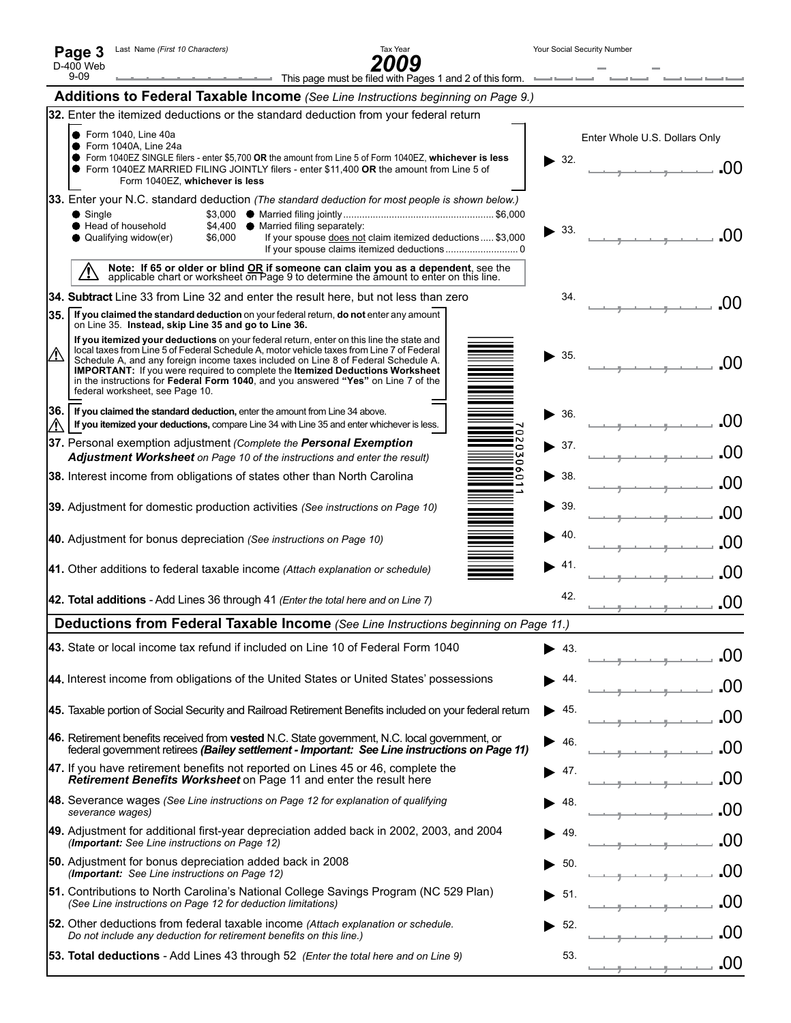| Page 3    | Last Name (First 10 Character |
|-----------|-------------------------------|
| D-400 Web |                               |



 $\overline{\phantom{0}}$ 

 $\overline{\phantom{a}}$ 

|      | $9 - 09$<br>This page must be filed with Pages 1 and 2 of this form.                                                                                                                                                                                                        |     |                               |
|------|-----------------------------------------------------------------------------------------------------------------------------------------------------------------------------------------------------------------------------------------------------------------------------|-----|-------------------------------|
|      | <b>Additions to Federal Taxable Income</b> (See Line Instructions beginning on Page 9.)                                                                                                                                                                                     |     |                               |
|      | 32. Enter the itemized deductions or the standard deduction from your federal return                                                                                                                                                                                        |     |                               |
|      | ● Form 1040, Line 40a<br>● Form 1040A, Line 24a                                                                                                                                                                                                                             |     | Enter Whole U.S. Dollars Only |
|      | ● Form 1040EZ SINGLE filers - enter \$5,700 OR the amount from Line 5 of Form 1040EZ, whichever is less<br>• Form 1040EZ MARRIED FILING JOINTLY filers - enter \$11.400 OR the amount from Line 5 of<br>Form 1040EZ, whichever is less                                      | 32. | -00                           |
|      | 33. Enter your N.C. standard deduction (The standard deduction for most people is shown below.)                                                                                                                                                                             |     |                               |
|      | $\bullet$ Single<br>Head of household<br>\$4,400 ● Married filing separately:                                                                                                                                                                                               | 33. |                               |
|      | Qualifying widow(er)<br>If your spouse does not claim itemized deductions  \$3,000<br>\$6,000                                                                                                                                                                               |     | -00                           |
|      | Note: If 65 or older or blind OR if someone can claim you as a dependent, see the applicable chart or worksheet on Page 9 to determine the amount to enter on this line.<br><u>/!\</u>                                                                                      |     |                               |
|      | 34. Subtract Line 33 from Line 32 and enter the result here, but not less than zero                                                                                                                                                                                         | 34. | -00                           |
| 35.1 | If you claimed the standard deduction on your federal return, do not enter any amount<br>on Line 35. Instead, skip Line 35 and go to Line 36.                                                                                                                               |     |                               |
|      | If you itemized your deductions on your federal return, enter on this line the state and<br>local taxes from Line 5 of Federal Schedule A, motor vehicle taxes from Line 7 of Federal<br>Schedule A, and any foreign income taxes included on Line 8 of Federal Schedule A. | 35. |                               |
|      | IMPORTANT: If you were required to complete the Itemized Deductions Worksheet<br>in the instructions for Federal Form 1040, and you answered "Yes" on Line 7 of the                                                                                                         |     | .00                           |
|      | federal worksheet, see Page 10.                                                                                                                                                                                                                                             |     |                               |
| 36.  | If you claimed the standard deduction, enter the amount from Line 34 above.<br>If you itemized your deductions, compare Line 34 with Line 35 and enter whichever is less.                                                                                                   | 36. | .00                           |
|      | 37. Personal exemption adjustment (Complete the Personal Exemption<br>Adjustment Worksheet on Page 10 of the instructions and enter the result)                                                                                                                             | 37. | .00                           |
|      | 38. Interest income from obligations of states other than North Carolina                                                                                                                                                                                                    | 38. |                               |
|      | 39. Adjustment for domestic production activities (See instructions on Page 10)                                                                                                                                                                                             | 39. | .00                           |
|      | 40. Adjustment for bonus depreciation (See instructions on Page 10)                                                                                                                                                                                                         | 40. | .00                           |
|      | 41. Other additions to federal taxable income (Attach explanation or schedule)                                                                                                                                                                                              | 41. | .00                           |
|      | 42. Total additions - Add Lines 36 through 41 (Enter the total here and on Line 7)                                                                                                                                                                                          | 42. | .00                           |
|      | Deductions from Federal Taxable Income (See Line Instructions beginning on Page 11.)                                                                                                                                                                                        |     |                               |
|      | 43. State or local income tax refund if included on Line 10 of Federal Form 1040                                                                                                                                                                                            | 43. | .00                           |
|      | 44. Interest income from obligations of the United States or United States' possessions                                                                                                                                                                                     | 44  |                               |
|      | 45. Taxable portion of Social Security and Railroad Retirement Benefits included on your federal return                                                                                                                                                                     | 45. | .00                           |
|      | 46. Retirement benefits received from vested N.C. State government, N.C. local government, or<br>federal government retirees (Bailey settlement - Important: See Line instructions on Page 11)                                                                              | 46  |                               |
|      | 47. If you have retirement benefits not reported on Lines 45 or 46, complete the<br>Retirement Benefits Worksheet on Page 11 and enter the result here                                                                                                                      | 47. | .00                           |
|      | 48. Severance wages (See Line instructions on Page 12 for explanation of qualifying<br>severance wages)                                                                                                                                                                     | 48. | .00                           |
|      | 49. Adjustment for additional first-year depreciation added back in 2002, 2003, and 2004<br>(Important: See Line instructions on Page 12)                                                                                                                                   | 49. |                               |
|      | 50. Adjustment for bonus depreciation added back in 2008<br>(Important: See Line instructions on Page 12)                                                                                                                                                                   | 50. |                               |
|      | 51. Contributions to North Carolina's National College Savings Program (NC 529 Plan)<br>(See Line instructions on Page 12 for deduction limitations)                                                                                                                        | 51. |                               |
|      | 52. Other deductions from federal taxable income (Attach explanation or schedule.<br>Do not include any deduction for retirement benefits on this line.)                                                                                                                    | 52. |                               |
|      | <b>53. Total deductions</b> - Add Lines 43 through 52 ( <i>Enter the total here and on Line 9</i> )                                                                                                                                                                         | 53. | .00                           |